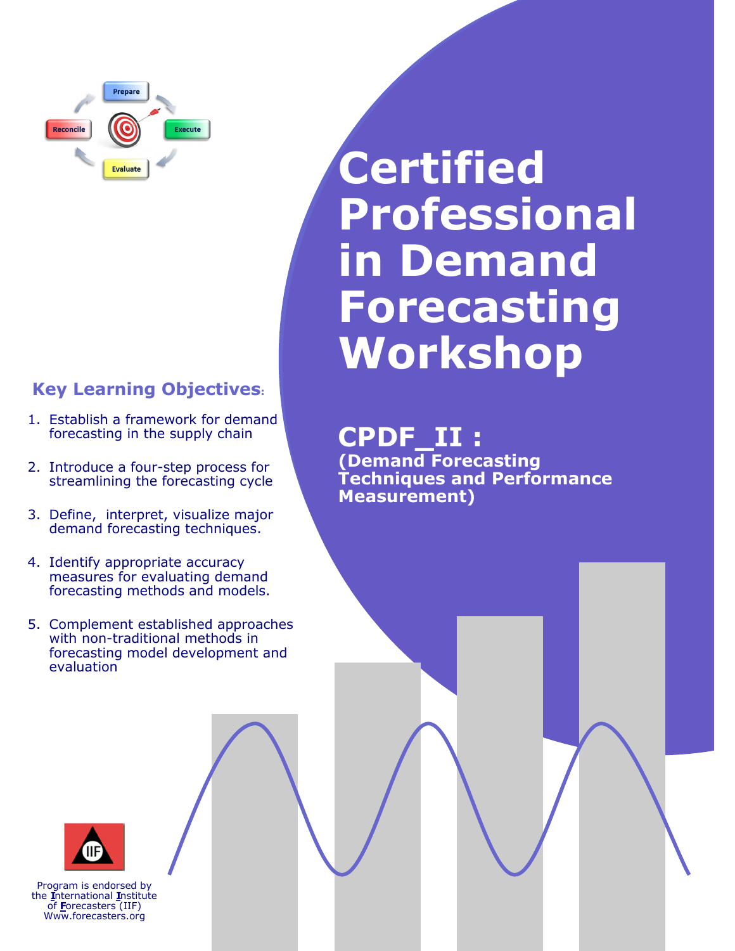

## **Key Learning Objectives:**

- 1. Establish a framework for demand forecasting in the supply chain
- 2. Introduce a four-step process for streamlining the forecasting cycle
- 3. Define, interpret, visualize major demand forecasting techniques.
- 4. Identify appropriate accuracy measures for evaluating demand forecasting methods and models.
- 5. Complement established approaches with non-traditional methods in forecasting model development and evaluation

# **Certified Professional in Demand Forecasting Workshop**

## **CPDF\_II :**

**(Demand Forecasting Techniques and Performance Measurement)**



Program is endorsed by the **I**nternational **I**nstitute of **F**orecasters (IIF) Www.forecasters.org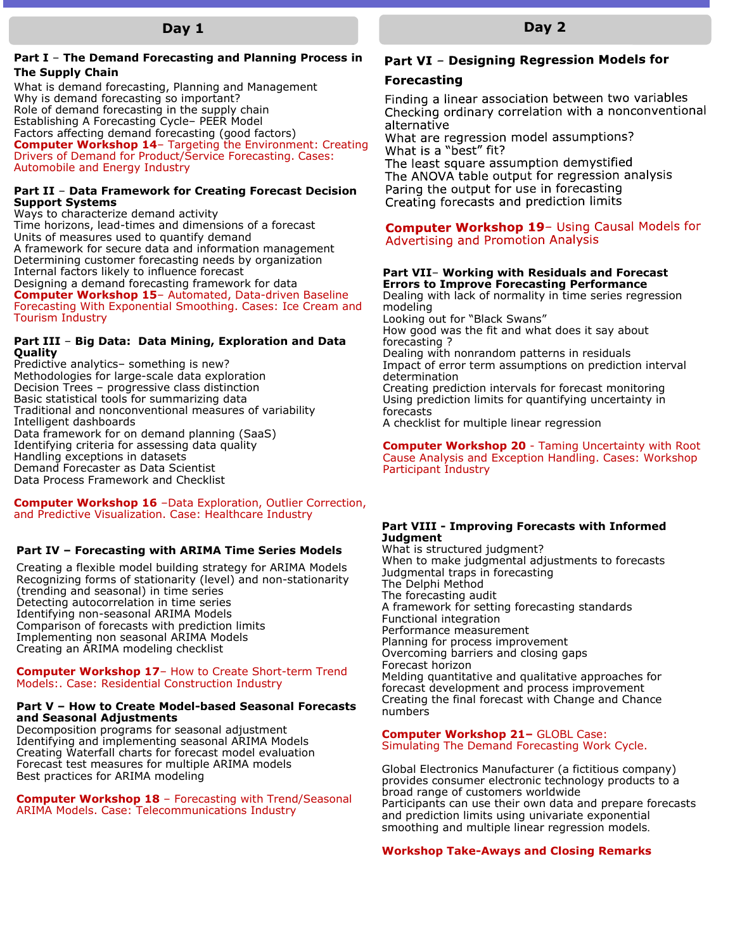#### **Part I** – **The Demand Forecasting and Planning Process in The Supply Chain**

What is demand forecasting, Planning and Management Why is demand forecasting so important? Role of demand forecasting in the supply chain Establishing A Forecasting Cycle– PEER Model Factors affecting demand forecasting (good factors) **Computer Workshop 14**– Targeting the Environment: Creating Drivers of Demand for Product/Service Forecasting. Cases: Automobile and Energy Industry

#### **Part II** – **Data Framework for Creating Forecast Decision Support Systems**

Ways to characterize demand activity Time horizons, lead-times and dimensions of a forecast Units of measures used to quantify demand A framework for secure data and information management Determining customer forecasting needs by organization Internal factors likely to influence forecast Designing a demand forecasting framework for data **Computer Workshop 15**– Automated, Data-driven Baseline Forecasting With Exponential Smoothing. Cases: Ice Cream and Tourism Industry

#### **Part III** – **Big Data: Data Mining, Exploration and Data Quality**

Predictive analytics– something is new? Methodologies for large-scale data exploration Decision Trees – progressive class distinction Basic statistical tools for summarizing data Traditional and nonconventional measures of variability Intelligent dashboards Data framework for on demand planning (SaaS) Identifying criteria for assessing data quality Handling exceptions in datasets Demand Forecaster as Data Scientist Data Process Framework and Checklist

#### **Computer Workshop 16** –Data Exploration, Outlier Correction, and Predictive Visualization. Case: Healthcare Industry

#### **Part IV – Forecasting with ARIMA Time Series Models**

Creating a flexible model building strategy for ARIMA Models Recognizing forms of stationarity (level) and non-stationarity (trending and seasonal) in time series Detecting autocorrelation in time series Identifying non-seasonal ARIMA Models Comparison of forecasts with prediction limits Implementing non seasonal ARIMA Models Creating an ARIMA modeling checklist

#### **Computer Workshop 17**– How to Create Short-term Trend Models:. Case: Residential Construction Industry

#### **Part V – How to Create Model-based Seasonal Forecasts and Seasonal Adjustments**

Decomposition programs for seasonal adjustment Identifying and implementing seasonal ARIMA Models Creating Waterfall charts for forecast model evaluation Forecast test measures for multiple ARIMA models Best practices for ARIMA modeling

**Computer Workshop 18** – Forecasting with Trend/Seasonal ARIMA Models. Case: Telecommunications Industry

## Part VI - Designing Regression Models for

#### **Forecasting**

Finding a linear association between two variables Checking ordinary correlation with a nonconventional alternative What are regression model assumptions?

What is a "best" fit? The least square assumption demystified The ANOVA table output for regression analysis Paring the output for use in forecasting Creating forecasts and prediction limits

#### **Computer Workshop 19-** Using Causal Models for **Advertising and Promotion Analysis**

#### **Part VII**– **Working with Residuals and Forecast Errors to Improve Forecasting Performance**

Dealing with lack of normality in time series regression modeling Looking out for "Black Swans" How good was the fit and what does it say about forecasting ? Dealing with nonrandom patterns in residuals Impact of error term assumptions on prediction interval determination Creating prediction intervals for forecast monitoring Using prediction limits for quantifying uncertainty in forecasts

A checklist for multiple linear regression

**Computer Workshop 20** - Taming Uncertainty with Root Cause Analysis and Exception Handling. Cases: Workshop Participant Industry

#### **Part VIII - Improving Forecasts with Informed Judgment**

What is structured judgment? When to make judgmental adjustments to forecasts Judgmental traps in forecasting The Delphi Method The forecasting audit A framework for setting forecasting standards Functional integration Performance measurement Planning for process improvement Overcoming barriers and closing gaps Forecast horizon Melding quantitative and qualitative approaches for forecast development and process improvement Creating the final forecast with Change and Chance numbers

## **Computer Workshop 21–** GLOBL Case:

Simulating The Demand Forecasting Work Cycle.

Global Electronics Manufacturer (a fictitious company) provides consumer electronic technology products to a broad range of customers worldwide Participants can use their own data and prepare forecasts and prediction limits using univariate exponential smoothing and multiple linear regression models.

### **Workshop Take-Aways and Closing Remarks**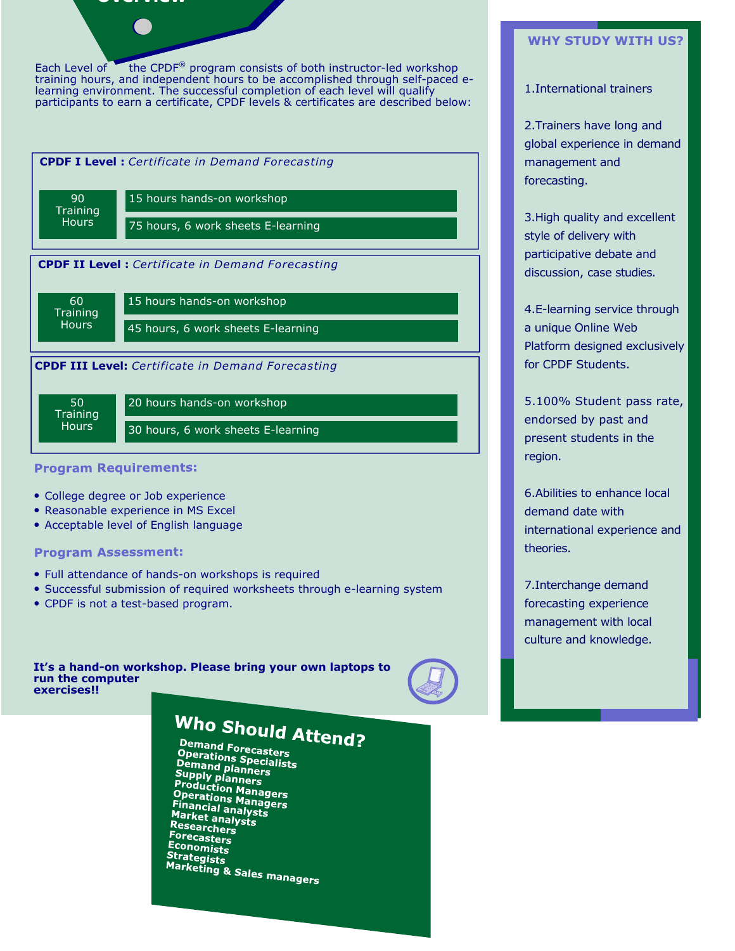### **Overview**

Each Level of the CPDF<sup>®</sup> program consists of both instructor-led workshop training hours, and independent hours to be accomplished through self-paced elearning environment. The successful completion of each level will qualify participants to earn a certificate, CPDF levels & certificates are described below:



#### **Program Requirements:**

- College degree or Job experience
- Reasonable experience in MS Excel
- Acceptable level of English language

#### **Program Assessment:**

- Full attendance of hands-on workshops is required
- Successful submission of required worksheets through e-learning system
- CPDF is not a test-based program.

**It's a hand-on workshop. Please bring your own laptops to run the computer exercises!!** 



## Who Should Attend?

Demand Forecasters **Comand Forecasters<br>Operations Specialists<br>Demand planners Operations Specialists<br>Demand planners<br>Supply planners<br>Production Managers<br>Operations Managers<br>Financial analysts PPETATIONS Manager**<br>Financial analysts<br>Market analysts **Market analys**<br>Market analysts<br>Researchors Researchers Forecasters Economists Strategists **Callegists**<br>Marketing & Sales managers

#### **WHY STUDY WITH US?**

#### 1.International trainers

2.Trainers have long and global experience in demand management and forecasting.

3.High quality and excellent style of delivery with participative debate and discussion, case studies.

4.E-learning service through a unique Online Web Platform designed exclusively for CPDF Students.

5.100% Student pass rate, endorsed by past and present students in the region.

6.Abilities to enhance local demand date with international experience and theories.

7.Interchange demand forecasting experience management with local culture and knowledge.